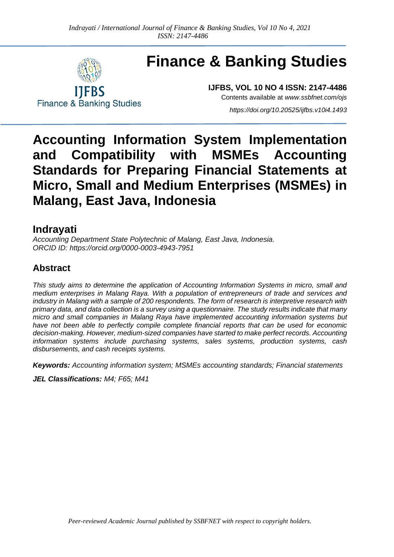

**Finance & Banking Studies**

**Finance & Banking Studies** 

**IJFBS, VOL 10 NO 4 ISSN: 2147-4486** Contents available at *[www.ssbfnet.com/ojs](http://www.ssbfnet.com/ojs)*

*<https://doi.org/10.20525/ijfbs.v10i4.1493>*

# **Accounting Information System Implementation and Compatibility with MSMEs Accounting Standards for Preparing Financial Statements at Micro, Small and Medium Enterprises (MSMEs) in Malang, East Java, Indonesia**

# **Indrayati**

*Accounting Department State Polytechnic of Malang, East Java, Indonesia. ORCID ID: https://orcid.org/0000-0003-4943-7951*

### **Abstract**

*This study aims to determine the application of Accounting Information Systems in micro, small and medium enterprises in Malang Raya. With a population of entrepreneurs of trade and services and industry in Malang with a sample of 200 respondents. The form of research is interpretive research with primary data, and data collection is a survey using a questionnaire. The study results indicate that many micro and small companies in Malang Raya have implemented accounting information systems but*  have not been able to perfectly compile complete financial reports that can be used for economic *decision-making. However, medium-sized companies have started to make perfect records. Accounting information systems include purchasing systems, sales systems, production systems, cash disbursements, and cash receipts systems.*

*Keywords: Accounting information system; MSMEs accounting standards; Financial statements*

*JEL Classifications: M4; F65; M41*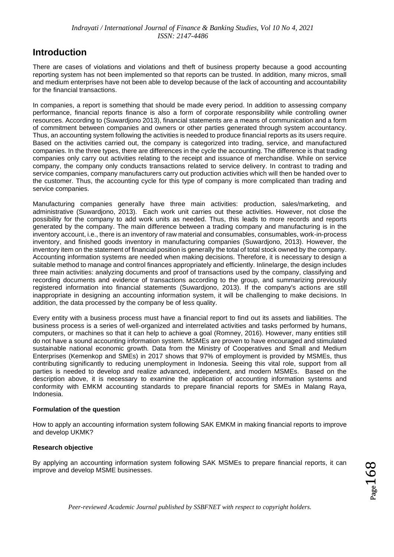### **Introduction**

There are cases of violations and violations and theft of business property because a good accounting reporting system has not been implemented so that reports can be trusted. In addition, many micros, small and medium enterprises have not been able to develop because of the lack of accounting and accountability for the financial transactions.

In companies, a report is something that should be made every period. In addition to assessing company performance, financial reports finance is also a form of corporate responsibility while controlling owner resources. According to (Suwardjono 2013), financial statements are a means of communication and a form of commitment between companies and owners or other parties generated through system accountancy. Thus, an accounting system following the activities is needed to produce financial reports as its users require. Based on the activities carried out, the company is categorized into trading, service, and manufactured companies. In the three types, there are differences in the cycle the accounting. The difference is that trading companies only carry out activities relating to the receipt and issuance of merchandise. While on service company, the company only conducts transactions related to service delivery. In contrast to trading and service companies, company manufacturers carry out production activities which will then be handed over to the customer. Thus, the accounting cycle for this type of company is more complicated than trading and service companies.

Manufacturing companies generally have three main activities: production, sales/marketing, and administrative (Suwardjono, 2013). Each work unit carries out these activities. However, not close the possibility for the company to add work units as needed. Thus, this leads to more records and reports generated by the company. The main difference between a trading company and manufacturing is in the inventory account, i.e., there is an inventory of raw material and consumables, consumables, work-in-process inventory, and finished goods inventory in manufacturing companies (Suwardjono, 2013). However, the inventory item on the statement of financial position is generally the total of total stock owned by the company. Accounting information systems are needed when making decisions. Therefore, it is necessary to design a suitable method to manage and control finances appropriately and efficiently. Inlinelarge, the design includes three main activities: analyzing documents and proof of transactions used by the company, classifying and recording documents and evidence of transactions according to the group, and summarizing previously registered information into financial statements (Suwardjono, 2013). If the company's actions are still inappropriate in designing an accounting information system, it will be challenging to make decisions. In addition, the data processed by the company be of less quality.

Every entity with a business process must have a financial report to find out its assets and liabilities. The business process is a series of well-organized and interrelated activities and tasks performed by humans, computers, or machines so that it can help to achieve a goal (Romney, 2016). However, many entities still do not have a sound accounting information system. MSMEs are proven to have encouraged and stimulated sustainable national economic growth. Data from the Ministry of Cooperatives and Small and Medium Enterprises (Kemenkop and SMEs) in 2017 shows that 97% of employment is provided by MSMEs, thus contributing significantly to reducing unemployment in Indonesia. Seeing this vital role, support from all parties is needed to develop and realize advanced, independent, and modern MSMEs. Based on the description above, it is necessary to examine the application of accounting information systems and conformity with EMKM accounting standards to prepare financial reports for SMEs in Malang Raya, Indonesia.

#### **Formulation of the question**

How to apply an accounting information system following SAK EMKM in making financial reports to improve and develop UKMK?

#### **Research objective**

By applying an accounting information system following SAK MSMEs to prepare financial reports, it can improve and develop MSME businesses.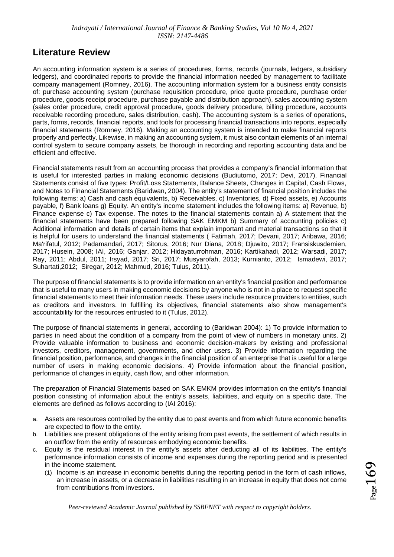### **Literature Review**

An accounting information system is a series of procedures, forms, records (journals, ledgers, subsidiary ledgers), and coordinated reports to provide the financial information needed by management to facilitate company management (Romney, 2016). The accounting information system for a business entity consists of: purchase accounting system (purchase requisition procedure, price quote procedure, purchase order procedure, goods receipt procedure, purchase payable and distribution approach), sales accounting system (sales order procedure, credit approval procedure, goods delivery procedure, billing procedure, accounts receivable recording procedure, sales distribution, cash). The accounting system is a series of operations, parts, forms, records, financial reports, and tools for processing financial transactions into reports, especially financial statements (Romney, 2016). Making an accounting system is intended to make financial reports properly and perfectly. Likewise, in making an accounting system, it must also contain elements of an internal control system to secure company assets, be thorough in recording and reporting accounting data and be efficient and effective.

Financial statements result from an accounting process that provides a company's financial information that is useful for interested parties in making economic decisions (Budiutomo, 2017; Devi, 2017). Financial Statements consist of five types: Profit/Loss Statements, Balance Sheets, Changes in Capital, Cash Flows, and Notes to Financial Statements (Baridwan, 2004). The entity's statement of financial position includes the following items: a) Cash and cash equivalents, b) Receivables, c) Inventories, d) Fixed assets, e) Accounts payable, f) Bank loans g) Equity. An entity's income statement includes the following items: a) Revenue, b) Finance expense c) Tax expense. The notes to the financial statements contain a) A statement that the financial statements have been prepared following SAK EMKM b) Summary of accounting policies c) Additional information and details of certain items that explain important and material transactions so that it is helpful for users to understand the financial statements ( Fatimah, 2017; Devani, 2017; Aribawa, 2016; Ma'rifatul, 2012; Padamandari, 2017; Sitorus, 2016; Nur Diana, 2018; Djuwito, 2017; Fransiskusdemien, 2017; Husein, 2008; IAI, 2016; Ganjar, 2012; Hidayaturrohman, 2016; Kartikahadi, 2012; Warsadi, 2017; Ray, 2011; Abdul, 2011; Irsyad, 2017; Sri, 2017; Musyarofah, 2013; Kurnianto, 2012; Ismadewi, 2017; Suhartati,2012; Siregar, 2012; Mahmud, 2016; Tulus, 2011).

The purpose of financial statements is to provide information on an entity's financial position and performance that is useful to many users in making economic decisions by anyone who is not in a place to request specific financial statements to meet their information needs. These users include resource providers to entities, such as creditors and investors. In fulfilling its objectives, financial statements also show management's accountability for the resources entrusted to it (Tulus, 2012).

The purpose of financial statements in general, according to (Baridwan 2004): 1) To provide information to parties in need about the condition of a company from the point of view of numbers in monetary units. 2) Provide valuable information to business and economic decision-makers by existing and professional investors, creditors, management, governments, and other users. 3) Provide information regarding the financial position, performance, and changes in the financial position of an enterprise that is useful for a large number of users in making economic decisions. 4) Provide information about the financial position, performance of changes in equity, cash flow, and other information.

The preparation of Financial Statements based on SAK EMKM provides information on the entity's financial position consisting of information about the entity's assets, liabilities, and equity on a specific date. The elements are defined as follows according to (IAI 2016):

- a. Assets are resources controlled by the entity due to past events and from which future economic benefits are expected to flow to the entity.
- b. Liabilities are present obligations of the entity arising from past events, the settlement of which results in an outflow from the entity of resources embodying economic benefits.
- c. Equity is the residual interest in the entity's assets after deducting all of its liabilities. The entity's performance information consists of income and expenses during the reporting period and is presented in the income statement.
	- (1) Income is an increase in economic benefits during the reporting period in the form of cash inflows, an increase in assets, or a decrease in liabilities resulting in an increase in equity that does not come from contributions from investors.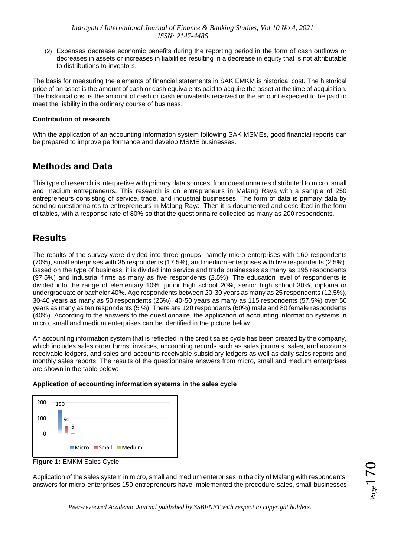(2) Expenses decrease economic benefits during the reporting period in the form of cash outflows or decreases in assets or increases in liabilities resulting in a decrease in equity that is not attributable to distributions to investors.

The basis for measuring the elements of financial statements in SAK EMKM is historical cost. The historical price of an asset is the amount of cash or cash equivalents paid to acquire the asset at the time of acquisition. The historical cost is the amount of cash or cash equivalents received or the amount expected to be paid to meet the liability in the ordinary course of business.

#### **Contribution of research**

With the application of an accounting information system following SAK MSMEs, good financial reports can be prepared to improve performance and develop MSME businesses.

### **Methods and Data**

This type of research is interpretive with primary data sources, from questionnaires distributed to micro, small and medium entrepreneurs. This research is on entrepreneurs in Malang Raya with a sample of 250 entrepreneurs consisting of service, trade, and industrial businesses. The form of data is primary data by sending questionnaires to entrepreneurs in Malang Raya. Then it is documented and described in the form of tables, with a response rate of 80% so that the questionnaire collected as many as 200 respondents.

### **Results**

The results of the survey were divided into three groups, namely micro-enterprises with 160 respondents (70%), small enterprises with 35 respondents (17.5%), and medium enterprises with five respondents (2.5%). Based on the type of business, it is divided into service and trade businesses as many as 195 respondents (97.5%) and industrial firms as many as five respondents (2.5%). The education level of respondents is divided into the range of elementary 10%, junior high school 20%, senior high school 30%, diploma or undergraduate or bachelor 40%. Age respondents between 20-30 years as many as 25 respondents (12.5%), 30-40 years as many as 50 respondents (25%), 40-50 years as many as 115 respondents (57.5%) over 50 years as many as ten respondents (5 %). There are 120 respondents (60%) male and 80 female respondents (40%). According to the answers to the questionnaire, the application of accounting information systems in micro, small and medium enterprises can be identified in the picture below.

An accounting information system that is reflected in the credit sales cycle has been created by the company, which includes sales order forms, invoices, accounting records such as sales journals, sales, and accounts receivable ledgers, and sales and accounts receivable subsidiary ledgers as well as daily sales reports and monthly sales reports. The results of the questionnaire answers from micro, small and medium enterprises are shown in the table below:

#### **Application of accounting information systems in the sales cycle**



**Figure 1:** EMKM Sales Cycle

Application of the sales system in micro, small and medium enterprises in the city of Malang with respondents' answers for micro-enterprises 150 entrepreneurs have implemented the procedure sales, small businesses  $_{\rm{age}}$ 17 $0$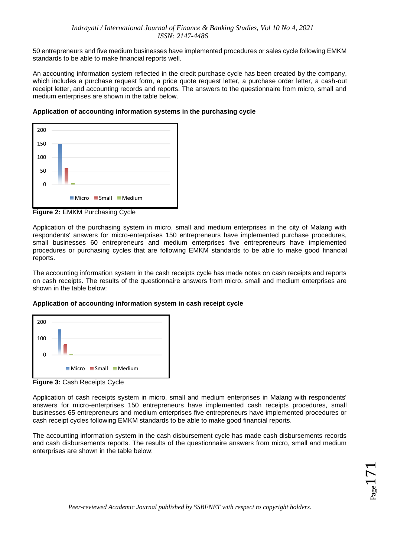50 entrepreneurs and five medium businesses have implemented procedures or sales cycle following EMKM standards to be able to make financial reports well.

An accounting information system reflected in the credit purchase cycle has been created by the company, which includes a purchase request form, a price quote request letter, a purchase order letter, a cash-out receipt letter, and accounting records and reports. The answers to the questionnaire from micro, small and medium enterprises are shown in the table below.



**Application of accounting information systems in the purchasing cycle**

**Figure 2:** EMKM Purchasing Cycle

Application of the purchasing system in micro, small and medium enterprises in the city of Malang with respondents' answers for micro-enterprises 150 entrepreneurs have implemented purchase procedures, small businesses 60 entrepreneurs and medium enterprises five entrepreneurs have implemented procedures or purchasing cycles that are following EMKM standards to be able to make good financial reports.

The accounting information system in the cash receipts cycle has made notes on cash receipts and reports on cash receipts. The results of the questionnaire answers from micro, small and medium enterprises are shown in the table below:

#### **Application of accounting information system in cash receipt cycle**



**Figure 3:** Cash Receipts Cycle

Application of cash receipts system in micro, small and medium enterprises in Malang with respondents' answers for micro-enterprises 150 entrepreneurs have implemented cash receipts procedures, small businesses 65 entrepreneurs and medium enterprises five entrepreneurs have implemented procedures or cash receipt cycles following EMKM standards to be able to make good financial reports.

The accounting information system in the cash disbursement cycle has made cash disbursements records and cash disbursements reports. The results of the questionnaire answers from micro, small and medium enterprises are shown in the table below: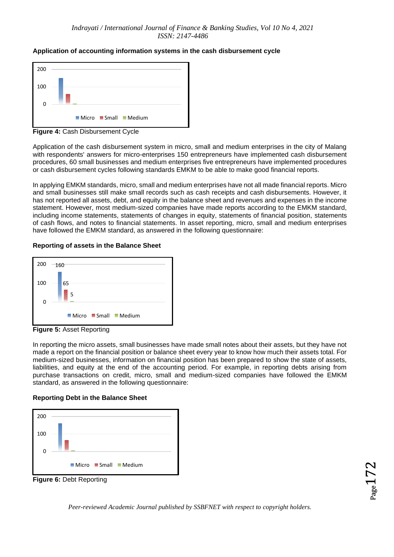#### **Application of accounting information systems in the cash disbursement cycle**



**Figure 4:** Cash Disbursement Cycle

Application of the cash disbursement system in micro, small and medium enterprises in the city of Malang with respondents' answers for micro-enterprises 150 entrepreneurs have implemented cash disbursement procedures, 60 small businesses and medium enterprises five entrepreneurs have implemented procedures or cash disbursement cycles following standards EMKM to be able to make good financial reports.

In applying EMKM standards, micro, small and medium enterprises have not all made financial reports. Micro and small businesses still make small records such as cash receipts and cash disbursements. However, it has not reported all assets, debt, and equity in the balance sheet and revenues and expenses in the income statement. However, most medium-sized companies have made reports according to the EMKM standard, including income statements, statements of changes in equity, statements of financial position, statements of cash flows, and notes to financial statements. In asset reporting, micro, small and medium enterprises have followed the EMKM standard, as answered in the following questionnaire:

#### **Reporting of assets in the Balance Sheet**



**Figure 5:** Asset Reporting

In reporting the micro assets, small businesses have made small notes about their assets, but they have not made a report on the financial position or balance sheet every year to know how much their assets total. For medium-sized businesses, information on financial position has been prepared to show the state of assets, liabilities, and equity at the end of the accounting period. For example, in reporting debts arising from purchase transactions on credit, micro, small and medium-sized companies have followed the EMKM standard, as answered in the following questionnaire:

#### **Reporting Debt in the Balance Sheet**



**Figure 6:** Debt Reporting

 $_{\rm Page}$ 172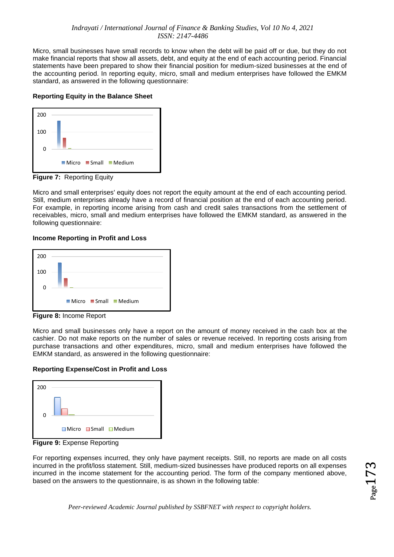Micro, small businesses have small records to know when the debt will be paid off or due, but they do not make financial reports that show all assets, debt, and equity at the end of each accounting period. Financial statements have been prepared to show their financial position for medium-sized businesses at the end of the accounting period. In reporting equity, micro, small and medium enterprises have followed the EMKM standard, as answered in the following questionnaire:

#### **Reporting Equity in the Balance Sheet**



**Figure 7:** Reporting Equity

Micro and small enterprises' equity does not report the equity amount at the end of each accounting period. Still, medium enterprises already have a record of financial position at the end of each accounting period. For example, in reporting income arising from cash and credit sales transactions from the settlement of receivables, micro, small and medium enterprises have followed the EMKM standard, as answered in the following questionnaire:

#### **Income Reporting in Profit and Loss**



**Figure 8:** Income Report

Micro and small businesses only have a report on the amount of money received in the cash box at the cashier. Do not make reports on the number of sales or revenue received. In reporting costs arising from purchase transactions and other expenditures, micro, small and medium enterprises have followed the EMKM standard, as answered in the following questionnaire:

#### **Reporting Expense/Cost in Profit and Loss**



**Figure 9:** Expense Reporting

For reporting expenses incurred, they only have payment receipts. Still, no reports are made on all costs incurred in the profit/loss statement. Still, medium-sized businesses have produced reports on all expenses incurred in the income statement for the accounting period. The form of the company mentioned above, based on the answers to the questionnaire, is as shown in the following table:

 $_{\rm Page}$ 173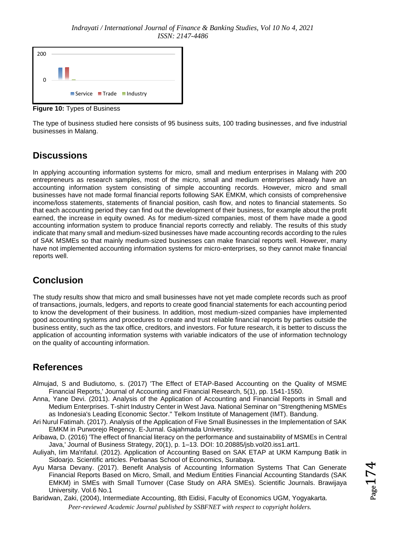

**Figure 10:** Types of Business

The type of business studied here consists of 95 business suits, 100 trading businesses, and five industrial businesses in Malang.

# **Discussions**

In applying accounting information systems for micro, small and medium enterprises in Malang with 200 entrepreneurs as research samples, most of the micro, small and medium enterprises already have an accounting information system consisting of simple accounting records. However, micro and small businesses have not made formal financial reports following SAK EMKM, which consists of comprehensive income/loss statements, statements of financial position, cash flow, and notes to financial statements. So that each accounting period they can find out the development of their business, for example about the profit earned, the increase in equity owned. As for medium-sized companies, most of them have made a good accounting information system to produce financial reports correctly and reliably. The results of this study indicate that many small and medium-sized businesses have made accounting records according to the rules of SAK MSMEs so that mainly medium-sized businesses can make financial reports well. However, many have not implemented accounting information systems for micro-enterprises, so they cannot make financial reports well.

# **Conclusion**

The study results show that micro and small businesses have not yet made complete records such as proof of transactions, journals, ledgers, and reports to create good financial statements for each accounting period to know the development of their business. In addition, most medium-sized companies have implemented good accounting systems and procedures to create and trust reliable financial reports by parties outside the business entity, such as the tax office, creditors, and investors. For future research, it is better to discuss the application of accounting information systems with variable indicators of the use of information technology on the quality of accounting information.

# **References**

- Almujad, S and Budiutomo, s. (2017) 'The Effect of ETAP-Based Accounting on the Quality of MSME Financial Reports,' Journal of Accounting and Financial Research, 5(1), pp. 1541-1550.
- Anna, Yane Devi. (2011). Analysis of the Application of Accounting and Financial Reports in Small and Medium Enterprises. T-shirt Industry Center in West Java. National Seminar on "Strengthening MSMEs as Indonesia's Leading Economic Sector." Telkom Institute of Management (IMT). Bandung.
- Ari Nurul Fatimah. (2017). Analysis of the Application of Five Small Businesses in the Implementation of SAK EMKM in Purworejo Regency. E-Jurnal. Gajahmada University.
- Aribawa, D. (2016) 'The effect of financial literacy on the performance and sustainability of MSMEs in Central Java,' Journal of Business Strategy, 20(1), p. 1–13. DOI: 10.20885/jsb.vol20.iss1.art1.
- Auliyah, Iim Ma'rifatul. (2012). Application of Accounting Based on SAK ETAP at UKM Kampung Batik in Sidoarjo. Scientific articles. Perbanas School of Economics, Surabaya.
- Ayu Marsa Devany. (2017). Benefit Analysis of Accounting Information Systems That Can Generate Financial Reports Based on Micro, Small, and Medium Entities Financial Accounting Standards (SAK EMKM) in SMEs with Small Turnover (Case Study on ARA SMEs). Scientific Journals. Brawijaya University. Vol.6 No.1
- *Peer-reviewed Academic Journal published by SSBFNET with respect to copyright holders.* Baridwan, Zaki, (2004), Intermediate Accounting, 8th Eidisi, Faculty of Economics UGM, Yogyakarta.